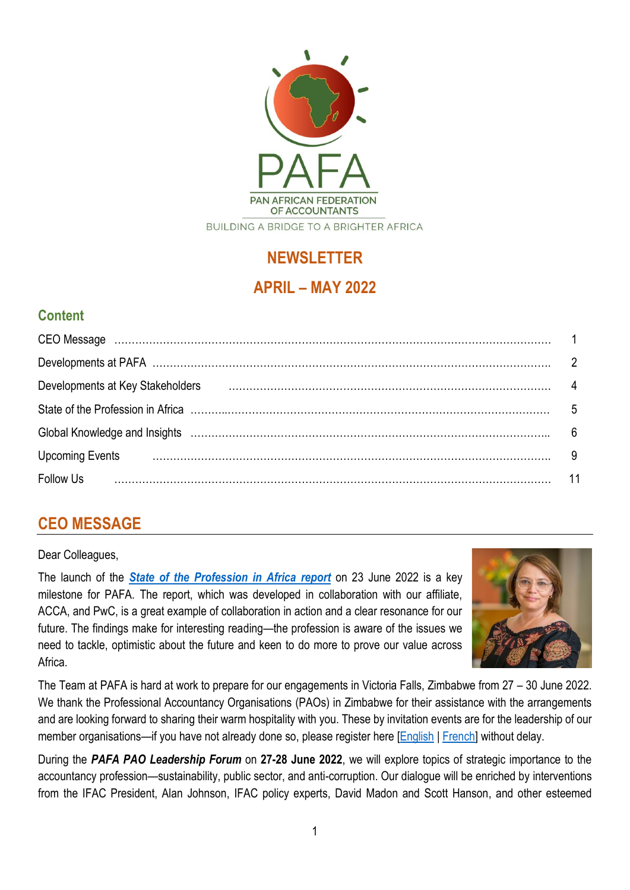

# **NEWSLETTER**

# **APRIL – MAY 2022**

# **Content**

| Developments at Key Stakeholders |      |
|----------------------------------|------|
|                                  | $-5$ |
|                                  |      |
| <b>Upcoming Events</b>           | - 9  |
| <b>Follow Us</b>                 |      |

# **CEO MESSAGE**

#### Dear Colleagues,

The launch of the *[State of the Profession in Africa report](https://pafaafrica.sharepoint.com/:b:/g/EVp-jv0aMixMjBBSYRz4NJ0BDR3rwuUVd-u0luPXKNK9JA?e=BDgVxy)* on 23 June 2022 is a key milestone for PAFA. The report, which was developed in collaboration with our affiliate, ACCA, and PwC, is a great example of collaboration in action and a clear resonance for our future. The findings make for interesting reading—the profession is aware of the issues we need to tackle, optimistic about the future and keen to do more to prove our value across Africa.



The Team at PAFA is hard at work to prepare for our engagements in Victoria Falls, Zimbabwe from 27 – 30 June 2022. We thank the Professional Accountancy Organisations (PAOs) in Zimbabwe for their assistance with the arrangements and are looking forward to sharing their warm hospitality with you. These by invitation events are for the leadership of our member organisations—if you have not already done so, please register here [\[English](https://zaf01.safelinks.protection.outlook.com/?url=https%3A%2F%2Fwww.surveymonkey.com%2Fr%2FL96LVJJ&data=05%7C01%7CSibongileS%40pafa.org.za%7Cd05a243f57134ae4aea708da341b92f8%7C2ee7786fc3a945ac81e6efc75b3c9c72%7C0%7C0%7C637879590663819291%7CUnknown%7CTWFpbGZsb3d8eyJWIjoiMC4wLjAwMDAiLCJQIjoiV2luMzIiLCJBTiI6Ik1haWwiLCJXVCI6Mn0%3D%7C3000%7C%7C%7C&sdata=fcxe1HuV0TNj2jWEK%2B51I8dDtB8bF9eN4RByApVKYZM%3D&reserved=0) | [French\]](https://zaf01.safelinks.protection.outlook.com/?url=https%3A%2F%2Fwww.surveymonkey.com%2Fr%2FGWKD6D9&data=05%7C01%7CSibongileS%40pafa.org.za%7Cd05a243f57134ae4aea708da341b92f8%7C2ee7786fc3a945ac81e6efc75b3c9c72%7C0%7C0%7C637879590663819291%7CUnknown%7CTWFpbGZsb3d8eyJWIjoiMC4wLjAwMDAiLCJQIjoiV2luMzIiLCJBTiI6Ik1haWwiLCJXVCI6Mn0%3D%7C3000%7C%7C%7C&sdata=XYSI3mT8eKQoUDapBdrnjoqcafUgPu8zjjxdCdVRg%2Fg%3D&reserved=0) without delay.

During the *PAFA PAO Leadership Forum* on **27-28 June 2022**, we will explore topics of strategic importance to the accountancy profession—sustainability, public sector, and anti-corruption. Our dialogue will be enriched by interventions from the IFAC President, Alan Johnson, IFAC policy experts, David Madon and Scott Hanson, and other esteemed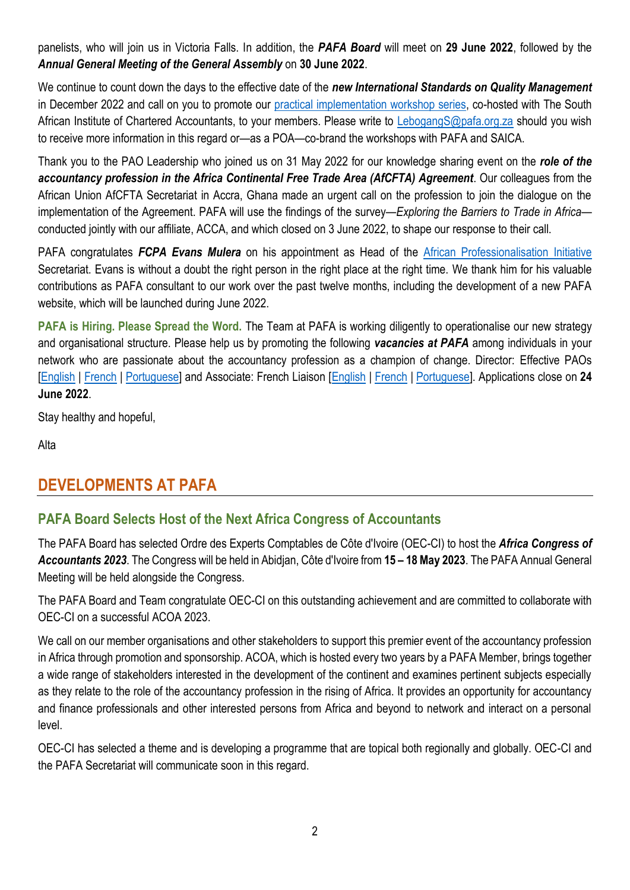panelists, who will join us in Victoria Falls. In addition, the *PAFA Board* will meet on **29 June 2022**, followed by the *Annual General Meeting of the General Assembly* on **30 June 2022**.

We continue to count down the days to the effective date of the *new International Standards on Quality Management* in December 2022 and call on you to promote our [practical implementation workshop series,](https://zaf01.safelinks.protection.outlook.com/?url=https%3A%2F%2Fwww.saica.org.za%2Fisqm-discussion-forum&data=05%7C01%7Caltap%40pafa.org.za%7C44180479ec3b48b6cd9f08da454233d2%7C2ee7786fc3a945ac81e6efc75b3c9c72%7C0%7C0%7C637898447895745139%7CUnknown%7CTWFpbGZsb3d8eyJWIjoiMC4wLjAwMDAiLCJQIjoiV2luMzIiLCJBTiI6Ik1haWwiLCJXVCI6Mn0%3D%7C3000%7C%7C%7C&sdata=b7eC%2FyFELRIRv1928SV52asCWhbrDVTHIKHq7K2Wb1w%3D&reserved=0) co-hosted with The South African Institute of Chartered Accountants, to your members. Please write to [LebogangS@pafa.org.za](mailto:LebogangS@pafa.org.za) should you wish to receive more information in this regard or—as a POA—co-brand the workshops with PAFA and SAICA.

Thank you to the PAO Leadership who joined us on 31 May 2022 for our knowledge sharing event on the *role of the accountancy profession in the Africa Continental Free Trade Area (AfCFTA) Agreement*. Our colleagues from the African Union AfCFTA Secretariat in Accra, Ghana made an urgent call on the profession to join the dialogue on the implementation of the Agreement. PAFA will use the findings of the survey—*Exploring the Barriers to Trade in Africa* conducted jointly with our affiliate, ACCA, and which closed on 3 June 2022, to shape our response to their call.

PAFA congratulates *FCPA Evans Mulera* on his appointment as Head of the [African Professionalisation Initiative](https://professionalisation.africa/) Secretariat. Evans is without a doubt the right person in the right place at the right time. We thank him for his valuable contributions as PAFA consultant to our work over the past twelve months, including the development of a new PAFA website, which will be launched during June 2022.

**PAFA is Hiring. Please Spread the Word.** The Team at PAFA is working diligently to operationalise our new strategy and organisational structure. Please help us by promoting the following *vacancies at PAFA* among individuals in your network who are passionate about the accountancy profession as a champion of change. Director: Effective PAOs [\[English](https://lnkd.in/dnj2ZwVy) | [French](https://lnkd.in/dwmYDfA5) | [Portuguese\]](https://lnkd.in/d8psPKQs) and Associate: French Liaison [\[English](https://lnkd.in/dy-rbKzk) | [French](https://lnkd.in/dGmPA3Cv) | [Portuguese\]](https://lnkd.in/d-yieuz2). Applications close on **24 June 2022**.

Stay healthy and hopeful,

Alta

# **DEVELOPMENTS AT PAFA**

## **PAFA Board Selects Host of the Next Africa Congress of Accountants**

The PAFA Board has selected Ordre des Experts Comptables de Côte d'Ivoire (OEC-CI) to host the *Africa Congress of Accountants 2023*. The Congress will be held in Abidjan, Côte d'Ivoire from **15 – 18 May 2023**. The PAFA Annual General Meeting will be held alongside the Congress.

The PAFA Board and Team congratulate OEC-CI on this outstanding achievement and are committed to collaborate with OEC-CI on a successful ACOA 2023.

We call on our member organisations and other stakeholders to support this premier event of the accountancy profession in Africa through promotion and sponsorship. ACOA, which is hosted every two years by a PAFA Member, brings together a wide range of stakeholders interested in the development of the continent and examines pertinent subjects especially as they relate to the role of the accountancy profession in the rising of Africa. It provides an opportunity for accountancy and finance professionals and other interested persons from Africa and beyond to network and interact on a personal level.

OEC-CI has selected a theme and is developing a programme that are topical both regionally and globally. OEC-CI and the PAFA Secretariat will communicate soon in this regard.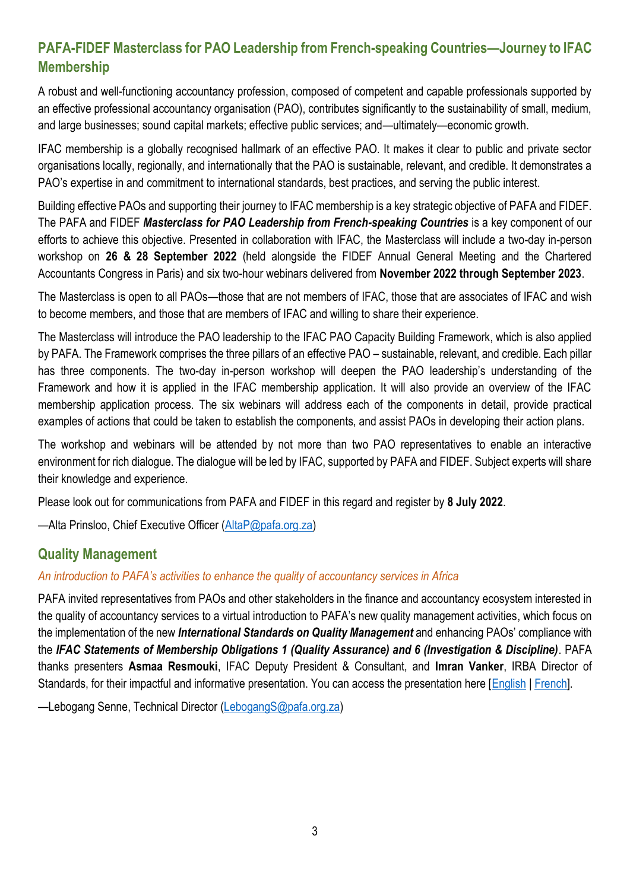# **PAFA-FIDEF Masterclass for PAO Leadership from French-speaking Countries—Journey to IFAC Membership**

A robust and well-functioning accountancy profession, composed of competent and capable professionals supported by an effective professional accountancy organisation (PAO), contributes significantly to the sustainability of small, medium, and large businesses; sound capital markets; effective public services; and—ultimately—economic growth.

IFAC membership is a globally recognised hallmark of an effective PAO. It makes it clear to public and private sector organisations locally, regionally, and internationally that the PAO is sustainable, relevant, and credible. It demonstrates a PAO's expertise in and commitment to international standards, best practices, and serving the public interest.

Building effective PAOs and supporting their journey to IFAC membership is a key strategic objective of PAFA and FIDEF. The PAFA and FIDEF *Masterclass for PAO Leadership from French-speaking Countries* is a key component of our efforts to achieve this objective. Presented in collaboration with IFAC, the Masterclass will include a two-day in-person workshop on **26 & 28 September 2022** (held alongside the FIDEF Annual General Meeting and the Chartered Accountants Congress in Paris) and six two-hour webinars delivered from **November 2022 through September 2023**.

The Masterclass is open to all PAOs—those that are not members of IFAC, those that are associates of IFAC and wish to become members, and those that are members of IFAC and willing to share their experience.

The Masterclass will introduce the PAO leadership to the IFAC PAO Capacity Building Framework, which is also applied by PAFA. The Framework comprises the three pillars of an effective PAO – sustainable, relevant, and credible. Each pillar has three components. The two-day in-person workshop will deepen the PAO leadership's understanding of the Framework and how it is applied in the IFAC membership application. It will also provide an overview of the IFAC membership application process. The six webinars will address each of the components in detail, provide practical examples of actions that could be taken to establish the components, and assist PAOs in developing their action plans.

The workshop and webinars will be attended by not more than two PAO representatives to enable an interactive environment for rich dialogue. The dialogue will be led by IFAC, supported by PAFA and FIDEF. Subject experts will share their knowledge and experience.

Please look out for communications from PAFA and FIDEF in this regard and register by **8 July 2022**.

—Alta Prinsloo, Chief Executive Officer [\(AltaP@pafa.org.za\)](mailto:AltaP@pafa.org.za)

### **Quality Management**

#### *An introduction to PAFA's activities to enhance the quality of accountancy services in Africa*

PAFA invited representatives from PAOs and other stakeholders in the finance and accountancy ecosystem interested in the quality of accountancy services to a virtual introduction to PAFA's new quality management activities, which focus on the implementation of the new *International Standards on Quality Management* and enhancing PAOs' compliance with the *IFAC Statements of Membership Obligations 1 (Quality Assurance) and 6 (Investigation & Discipline)*. PAFA thanks presenters **Asmaa Resmouki**, IFAC Deputy President & Consultant, and **Imran Vanker**, IRBA Director of Standards, for their impactful and informative presentation. You can access the presentation here [\[English](https://pafaafrica.sharepoint.com/:b:/g/EbYUlnMZ1G5DrDrLW2hm0J4BFNGNR028eiwmjsYmDNUo2w?e=gT5LEu) | [French\]](https://pafaafrica.sharepoint.com/:b:/g/EdakC8075tpMvbMQYmDxgm0Bv3euHRzCGsTDPbrRS3HR0Q?e=sRQxWQ).

—Lebogang Senne, Technical Director [\(LebogangS@pafa.org.za\)](mailto:LebogangS@pafa.org.za)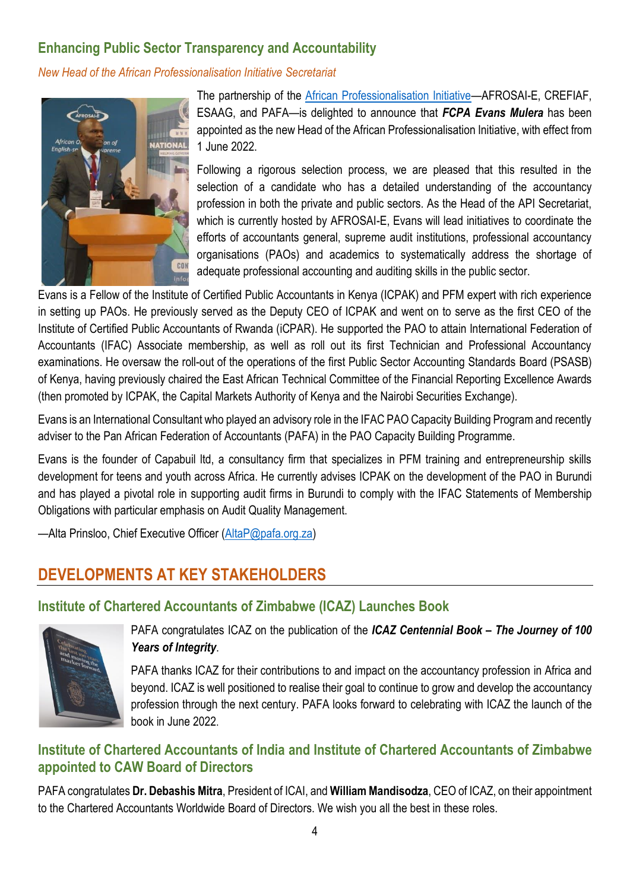## **Enhancing Public Sector Transparency and Accountability**

*New Head of the African Professionalisation Initiative Secretariat*



The partnership of the [African Professionalisation Initiative](https://professionalisation.africa/)—AFROSAI-E, CREFIAF, ESAAG, and PAFA—is delighted to announce that *FCPA Evans Mulera* has been appointed as the new Head of the African Professionalisation Initiative, with effect from 1 June 2022.

Following a rigorous selection process, we are pleased that this resulted in the selection of a candidate who has a detailed understanding of the accountancy profession in both the private and public sectors. As the Head of the API Secretariat, which is currently hosted by AFROSAI-E, Evans will lead initiatives to coordinate the efforts of accountants general, supreme audit institutions, professional accountancy organisations (PAOs) and academics to systematically address the shortage of adequate professional accounting and auditing skills in the public sector.

Evans is a Fellow of the Institute of Certified Public Accountants in Kenya (ICPAK) and PFM expert with rich experience in setting up PAOs. He previously served as the Deputy CEO of ICPAK and went on to serve as the first CEO of the Institute of Certified Public Accountants of Rwanda (iCPAR). He supported the PAO to attain International Federation of Accountants (IFAC) Associate membership, as well as roll out its first Technician and Professional Accountancy examinations. He oversaw the roll-out of the operations of the first Public Sector Accounting Standards Board (PSASB) of Kenya, having previously chaired the East African Technical Committee of the Financial Reporting Excellence Awards (then promoted by ICPAK, the Capital Markets Authority of Kenya and the Nairobi Securities Exchange).

Evans is an International Consultant who played an advisory role in the IFAC PAO Capacity Building Program and recently adviser to the Pan African Federation of Accountants (PAFA) in the PAO Capacity Building Programme.

Evans is the founder of Capabuil ltd, a consultancy firm that specializes in PFM training and entrepreneurship skills development for teens and youth across Africa. He currently advises ICPAK on the development of the PAO in Burundi and has played a pivotal role in supporting audit firms in Burundi to comply with the IFAC Statements of Membership Obligations with particular emphasis on Audit Quality Management.

—Alta Prinsloo, Chief Executive Officer [\(AltaP@pafa.org.za\)](mailto:AltaP@pafa.org.za)

# **DEVELOPMENTS AT KEY STAKEHOLDERS**

## **Institute of Chartered Accountants of Zimbabwe (ICAZ) Launches Book**



PAFA congratulates ICAZ on the publication of the *ICAZ Centennial Book – The Journey of 100 Years of Integrity*.

PAFA thanks ICAZ for their contributions to and impact on the accountancy profession in Africa and beyond. ICAZ is well positioned to realise their goal to continue to grow and develop the accountancy profession through the next century. PAFA looks forward to celebrating with ICAZ the launch of the book in June 2022.

## **Institute of Chartered Accountants of India and Institute of Chartered Accountants of Zimbabwe appointed to CAW Board of Directors**

PAFA congratulates **Dr. Debashis Mitra**, President of ICAI, and **William Mandisodza**, CEO of ICAZ, on their appointment to the Chartered Accountants Worldwide Board of Directors. We wish you all the best in these roles.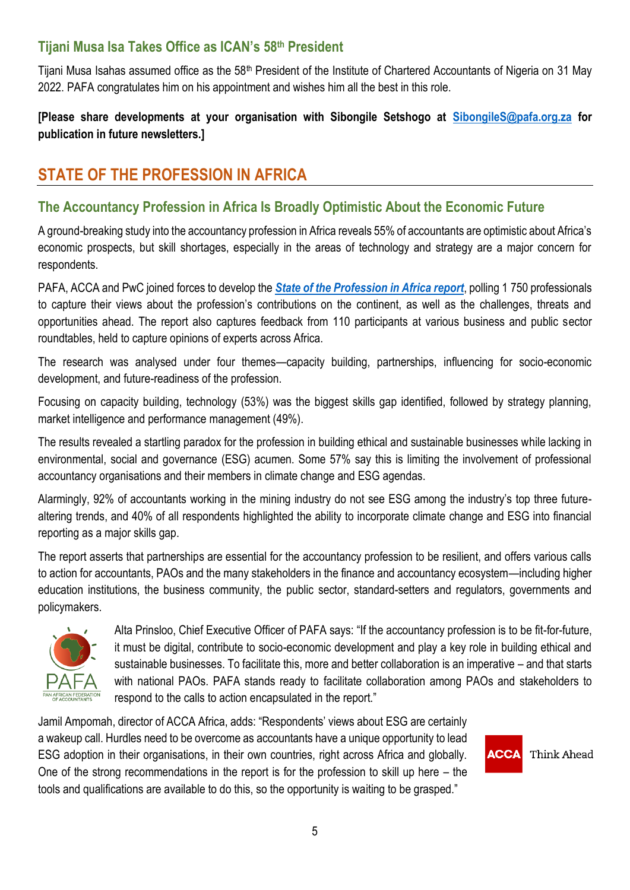## **Tijani Musa Isa Takes Office as ICAN's 58th President**

Tijani Musa Isahas assumed office as the 58<sup>th</sup> President of the Institute of Chartered Accountants of Nigeria on 31 May 2022. PAFA congratulates him on his appointment and wishes him all the best in this role.

## **[Please share developments at your organisation with Sibongile Setshogo at [SibongileS@pafa.org.za](mailto:SibongileS@pafa.org.za) for publication in future newsletters.]**

# **STATE OF THE PROFESSION IN AFRICA**

## **The Accountancy Profession in Africa Is Broadly Optimistic About the Economic Future**

A ground-breaking study into the accountancy profession in Africa reveals 55% of accountants are optimistic about Africa's economic prospects, but skill shortages, especially in the areas of technology and strategy are a major concern for respondents.

PAFA, ACCA and PwC joined forces to develop the *[State of the Profession in Africa report](https://pafaafrica.sharepoint.com/:b:/g/EVp-jv0aMixMjBBSYRz4NJ0BDR3rwuUVd-u0luPXKNK9JA?e=BDgVxy)*, polling 1 750 professionals to capture their views about the profession's contributions on the continent, as well as the challenges, threats and opportunities ahead. The report also captures feedback from 110 participants at various business and public sector roundtables, held to capture opinions of experts across Africa.

The research was analysed under four themes—capacity building, partnerships, influencing for socio-economic development, and future-readiness of the profession.

Focusing on capacity building, technology (53%) was the biggest skills gap identified, followed by strategy planning, market intelligence and performance management (49%).

The results revealed a startling paradox for the profession in building ethical and sustainable businesses while lacking in environmental, social and governance (ESG) acumen. Some 57% say this is limiting the involvement of professional accountancy organisations and their members in climate change and ESG agendas.

Alarmingly, 92% of accountants working in the mining industry do not see ESG among the industry's top three futurealtering trends, and 40% of all respondents highlighted the ability to incorporate climate change and ESG into financial reporting as a major skills gap.

The report asserts that partnerships are essential for the accountancy profession to be resilient, and offers various calls to action for accountants, PAOs and the many stakeholders in the finance and accountancy ecosystem—including higher education institutions, the business community, the public sector, standard-setters and regulators, governments and policymakers.



Alta Prinsloo, Chief Executive Officer of PAFA says: "If the accountancy profession is to be fit-for-future, it must be digital, contribute to socio-economic development and play a key role in building ethical and sustainable businesses. To facilitate this, more and better collaboration is an imperative – and that starts with national PAOs. PAFA stands ready to facilitate collaboration among PAOs and stakeholders to respond to the calls to action encapsulated in the report."

Jamil Ampomah, director of ACCA Africa, adds: "Respondents' views about ESG are certainly a wakeup call. Hurdles need to be overcome as accountants have a unique opportunity to lead ESG adoption in their organisations, in their own countries, right across Africa and globally. One of the strong recommendations in the report is for the profession to skill up here – the tools and qualifications are available to do this, so the opportunity is waiting to be grasped."

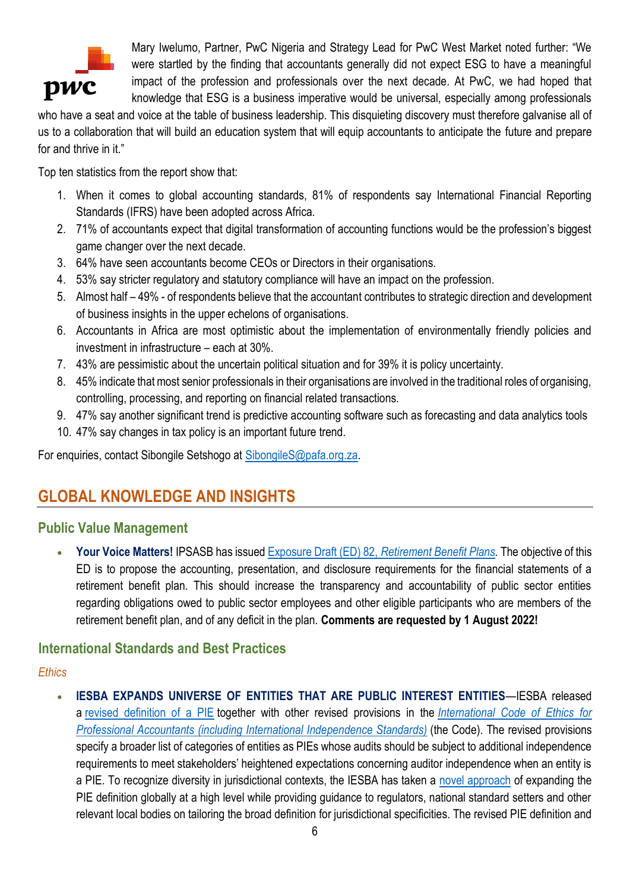

Mary Iwelumo, Partner, PwC Nigeria and Strategy Lead for PwC West Market noted further: "We were startled by the finding that accountants generally did not expect ESG to have a meaningful impact of the profession and professionals over the next decade. At PwC, we had hoped that knowledge that ESG is a business imperative would be universal, especially among professionals

who have a seat and voice at the table of business leadership. This disquieting discovery must therefore galvanise all of us to a collaboration that will build an education system that will equip accountants to anticipate the future and prepare for and thrive in it."

Top ten statistics from the report show that:

- 1. When it comes to global accounting standards, 81% of respondents say International Financial Reporting Standards (IFRS) have been adopted across Africa.
- 2. 71% of accountants expect that digital transformation of accounting functions would be the profession's biggest game changer over the next decade.
- 3. 64% have seen accountants become CEOs or Directors in their organisations.
- 4. 53% say stricter regulatory and statutory compliance will have an impact on the profession.
- 5. Almost half 49% of respondents believe that the accountant contributes to strategic direction and development of business insights in the upper echelons of organisations.
- 6. Accountants in Africa are most optimistic about the implementation of environmentally friendly policies and investment in infrastructure – each at 30%.
- 7. 43% are pessimistic about the uncertain political situation and for 39% it is policy uncertainty.
- 8. 45% indicate that most senior professionals in their organisations are involved in the traditional roles of organising, controlling, processing, and reporting on financial related transactions.
- 9. 47% say another significant trend is predictive accounting software such as forecasting and data analytics tools
- 10. 47% say changes in tax policy is an important future trend.

For enquiries, contact Sibongile Setshogo at [SibongileS@pafa.org.za.](mailto:SibongileS@pafa.org.za)

# **GLOBAL KNOWLEDGE AND INSIGHTS**

#### **Public Value Management**

• **Your Voice Matters!** IPSASB has issued Exposure Draft (ED) 82, *[Retirement Benefit Plans.](https://zaf01.safelinks.protection.outlook.com/?url=https%3A%2F%2Fwww.ipsasb.org%2Fpublications%2Fexposure-draft-ed-82-retirement-benefit-plans&data=05%7C01%7CSibongileS%40pafa.org.za%7C1bfb3947c1de4e17704508da2c6145fa%7C2ee7786fc3a945ac81e6efc75b3c9c72%7C0%7C0%7C637871093700867224%7CUnknown%7CTWFpbGZsb3d8eyJWIjoiMC4wLjAwMDAiLCJQIjoiV2luMzIiLCJBTiI6Ik1haWwiLCJXVCI6Mn0%3D%7C3000%7C%7C%7C&sdata=kq8PlZ2XAXK0L6JkQdVxpizXnvfESr4aBgipzGtrtYY%3D&reserved=0)* The objective of this ED is to propose the accounting, presentation, and disclosure requirements for the financial statements of a retirement benefit plan. This should increase the transparency and accountability of public sector entities regarding obligations owed to public sector employees and other eligible participants who are members of the retirement benefit plan, and of any deficit in the plan. **Comments are requested by 1 August 2022!**

#### **International Standards and Best Practices**

#### *Ethics*

**IESBA EXPANDS UNIVERSE OF ENTITIES THAT ARE PUBLIC INTEREST ENTITIES—IESBA released** a [revised definition of a PIE](https://zaf01.safelinks.protection.outlook.com/?url=https%3A%2F%2Fwww.ethicsboard.org%2Fpublications%2Ffinal-pronouncement-revisions-definitions-listed-entity-and-public-interest-entity-code&data=05%7C01%7CSibongileS%40pafa.org.za%7C1bfb3947c1de4e17704508da2c6145fa%7C2ee7786fc3a945ac81e6efc75b3c9c72%7C0%7C0%7C637871093700554747%7CUnknown%7CTWFpbGZsb3d8eyJWIjoiMC4wLjAwMDAiLCJQIjoiV2luMzIiLCJBTiI6Ik1haWwiLCJXVCI6Mn0%3D%7C3000%7C%7C%7C&sdata=9pjzpHSIFdrPlNuWHGR8bj8m1qqJVWVPVZ1auBzJrVM%3D&reserved=0) together with other revised provisions in the *[International Code of Ethics for](https://zaf01.safelinks.protection.outlook.com/?url=https%3A%2F%2Fwww.ethicsboard.org%2Finternational-code-ethics-professional-accountants&data=05%7C01%7CSibongileS%40pafa.org.za%7C1bfb3947c1de4e17704508da2c6145fa%7C2ee7786fc3a945ac81e6efc75b3c9c72%7C0%7C0%7C637871093700554747%7CUnknown%7CTWFpbGZsb3d8eyJWIjoiMC4wLjAwMDAiLCJQIjoiV2luMzIiLCJBTiI6Ik1haWwiLCJXVCI6Mn0%3D%7C3000%7C%7C%7C&sdata=H5pmp2A4z%2BjjxpNddzTRnpXSwEPeZ%2BcQkDFg6B5MK5g%3D&reserved=0)  [Professional Accountants \(including International Independence Standards\)](https://zaf01.safelinks.protection.outlook.com/?url=https%3A%2F%2Fwww.ethicsboard.org%2Finternational-code-ethics-professional-accountants&data=05%7C01%7CSibongileS%40pafa.org.za%7C1bfb3947c1de4e17704508da2c6145fa%7C2ee7786fc3a945ac81e6efc75b3c9c72%7C0%7C0%7C637871093700554747%7CUnknown%7CTWFpbGZsb3d8eyJWIjoiMC4wLjAwMDAiLCJQIjoiV2luMzIiLCJBTiI6Ik1haWwiLCJXVCI6Mn0%3D%7C3000%7C%7C%7C&sdata=H5pmp2A4z%2BjjxpNddzTRnpXSwEPeZ%2BcQkDFg6B5MK5g%3D&reserved=0)* (the Code). The revised provisions specify a broader list of categories of entities as PIEs whose audits should be subject to additional independence requirements to meet stakeholders' heightened expectations concerning auditor independence when an entity is a PIE. To recognize diversity in jurisdictional contexts, the IESBA has taken a [novel approach](https://zaf01.safelinks.protection.outlook.com/?url=https%3A%2F%2Fwww.ethicsboard.org%2Fnews-events%2F2022-04%2Fglobal-ethics-board-expands-universe-entities-are-public-interest-entities&data=05%7C01%7CSibongileS%40pafa.org.za%7C1bfb3947c1de4e17704508da2c6145fa%7C2ee7786fc3a945ac81e6efc75b3c9c72%7C0%7C0%7C637871093700554747%7CUnknown%7CTWFpbGZsb3d8eyJWIjoiMC4wLjAwMDAiLCJQIjoiV2luMzIiLCJBTiI6Ik1haWwiLCJXVCI6Mn0%3D%7C3000%7C%7C%7C&sdata=%2F085dB%2BObz7aANqoUdCFt0%2BgXe4v%2BbIyw8bYBbuaX1w%3D&reserved=0) of expanding the PIE definition globally at a high level while providing guidance to regulators, national standard setters and other relevant local bodies on tailoring the broad definition for jurisdictional specificities. The revised PIE definition and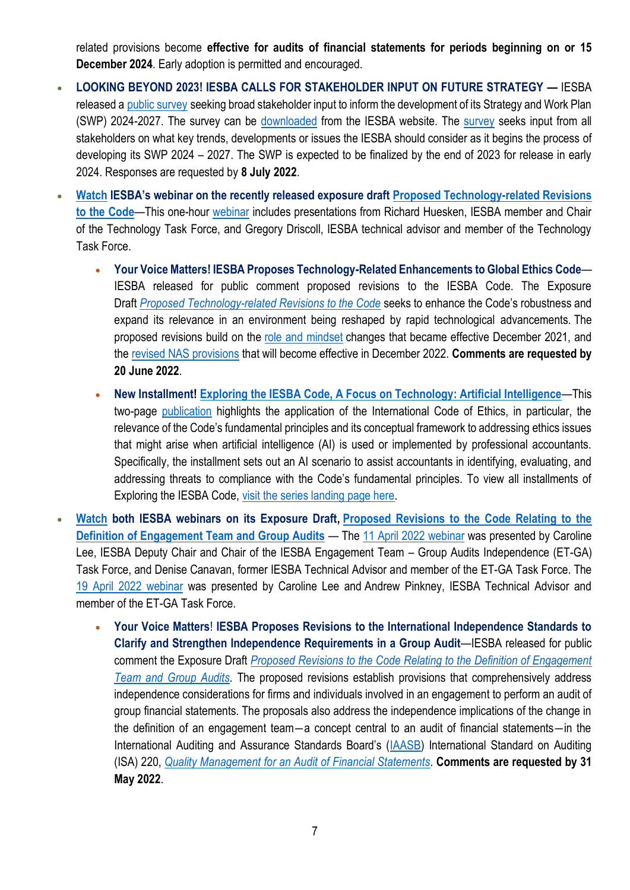related provisions become **effective for audits of financial statements for periods beginning on or 15 December 2024**. Early adoption is permitted and encouraged.

- **LOOKING BEYOND 2023! IESBA CALLS FOR STAKEHOLDER INPUT ON FUTURE STRATEGY —** IESBA released a [public survey](https://zaf01.safelinks.protection.outlook.com/?url=https%3A%2F%2Fwww.ethicsboard.org%2Fpublications%2Fiesba-strategy-survey-2022&data=05%7C01%7CSibongileS%40pafa.org.za%7C1bfb3947c1de4e17704508da2c6145fa%7C2ee7786fc3a945ac81e6efc75b3c9c72%7C0%7C0%7C637871093700554747%7CUnknown%7CTWFpbGZsb3d8eyJWIjoiMC4wLjAwMDAiLCJQIjoiV2luMzIiLCJBTiI6Ik1haWwiLCJXVCI6Mn0%3D%7C3000%7C%7C%7C&sdata=n5DgLtIW2xejuNMmkSFK5whcnll3NEg3aRkhk1%2FVAtI%3D&reserved=0) seeking broad stakeholder input to inform the development of its Strategy and Work Plan (SWP) 2024-2027. The survey can be [downloaded](https://zaf01.safelinks.protection.outlook.com/?url=https%3A%2F%2Fwww.ethicsboard.org%2Fpublications%2Fiesba-strategy-survey-2022&data=05%7C01%7CSibongileS%40pafa.org.za%7C1bfb3947c1de4e17704508da2c6145fa%7C2ee7786fc3a945ac81e6efc75b3c9c72%7C0%7C0%7C637871093700554747%7CUnknown%7CTWFpbGZsb3d8eyJWIjoiMC4wLjAwMDAiLCJQIjoiV2luMzIiLCJBTiI6Ik1haWwiLCJXVCI6Mn0%3D%7C3000%7C%7C%7C&sdata=n5DgLtIW2xejuNMmkSFK5whcnll3NEg3aRkhk1%2FVAtI%3D&reserved=0) from the IESBA website. The [survey](https://zaf01.safelinks.protection.outlook.com/?url=https%3A%2F%2Fsurvey.alchemer.com%2Fs3%2F6801034%2FIESBA-s-Future-Strategy-and-Work-Plan-Survey&data=05%7C01%7CSibongileS%40pafa.org.za%7C1bfb3947c1de4e17704508da2c6145fa%7C2ee7786fc3a945ac81e6efc75b3c9c72%7C0%7C0%7C637871093700554747%7CUnknown%7CTWFpbGZsb3d8eyJWIjoiMC4wLjAwMDAiLCJQIjoiV2luMzIiLCJBTiI6Ik1haWwiLCJXVCI6Mn0%3D%7C3000%7C%7C%7C&sdata=FD%2FugQcvBDlGoRCvE%2B0I2QuyHjD78n2vePyRrFak%2FSg%3D&reserved=0) seeks input from all stakeholders on what key trends, developments or issues the IESBA should consider as it begins the process of developing its SWP 2024 – 2027. The SWP is expected to be finalized by the end of 2023 for release in early 2024. Responses are requested by **8 July 2022**.
- **[Watch](https://zaf01.safelinks.protection.outlook.com/?url=https%3A%2F%2Fwww.ethicsboard.org%2Fnews-events%2F2022-04%2Fnow-available-watch-iesbas-global-webinar-proposed-technology-related-revisions-code&data=05%7C01%7CSibongileS%40pafa.org.za%7C1bfb3947c1de4e17704508da2c6145fa%7C2ee7786fc3a945ac81e6efc75b3c9c72%7C0%7C0%7C637871093700554747%7CUnknown%7CTWFpbGZsb3d8eyJWIjoiMC4wLjAwMDAiLCJQIjoiV2luMzIiLCJBTiI6Ik1haWwiLCJXVCI6Mn0%3D%7C3000%7C%7C%7C&sdata=aMNWhFWoiM0dQd1CKaBZYFRS3eynVcbMKj5vl%2B81myw%3D&reserved=0) IESBA's webinar on the recently released exposure draft [Proposed Technology-related Revisions](https://zaf01.safelinks.protection.outlook.com/?url=https%3A%2F%2Fwww.ethicsboard.org%2Fpublications%2Fproposed-technology-related-revisions-code&data=05%7C01%7CSibongileS%40pafa.org.za%7C1bfb3947c1de4e17704508da2c6145fa%7C2ee7786fc3a945ac81e6efc75b3c9c72%7C0%7C0%7C637871093700554747%7CUnknown%7CTWFpbGZsb3d8eyJWIjoiMC4wLjAwMDAiLCJQIjoiV2luMzIiLCJBTiI6Ik1haWwiLCJXVCI6Mn0%3D%7C3000%7C%7C%7C&sdata=WwN0AaGsFsyIGA6EW%2BnnBztfw5Xqdl5w59Hhbk7XkaI%3D&reserved=0)  [to the Code](https://zaf01.safelinks.protection.outlook.com/?url=https%3A%2F%2Fwww.ethicsboard.org%2Fpublications%2Fproposed-technology-related-revisions-code&data=05%7C01%7CSibongileS%40pafa.org.za%7C1bfb3947c1de4e17704508da2c6145fa%7C2ee7786fc3a945ac81e6efc75b3c9c72%7C0%7C0%7C637871093700554747%7CUnknown%7CTWFpbGZsb3d8eyJWIjoiMC4wLjAwMDAiLCJQIjoiV2luMzIiLCJBTiI6Ik1haWwiLCJXVCI6Mn0%3D%7C3000%7C%7C%7C&sdata=WwN0AaGsFsyIGA6EW%2BnnBztfw5Xqdl5w59Hhbk7XkaI%3D&reserved=0)**—This one-hour [webinar](https://zaf01.safelinks.protection.outlook.com/?url=https%3A%2F%2Fwww.youtube.com%2Fwatch%3Fv%3D0RramL_gJ4M&data=05%7C01%7CSibongileS%40pafa.org.za%7C1bfb3947c1de4e17704508da2c6145fa%7C2ee7786fc3a945ac81e6efc75b3c9c72%7C0%7C0%7C637871093700554747%7CUnknown%7CTWFpbGZsb3d8eyJWIjoiMC4wLjAwMDAiLCJQIjoiV2luMzIiLCJBTiI6Ik1haWwiLCJXVCI6Mn0%3D%7C3000%7C%7C%7C&sdata=23wKw1CXO074ESIXi6e%2B1thB9kU9oYhRjiWnxFMtcFg%3D&reserved=0) includes presentations from Richard Huesken, IESBA member and Chair of the Technology Task Force, and Gregory Driscoll, IESBA technical advisor and member of the Technology Task Force.
	- **Your Voice Matters! IESBA Proposes Technology-Related Enhancements to Global Ethics Code** IESBA released for public comment proposed revisions to the IESBA Code. The Exposure Draft *[Proposed Technology-related Revisions to the Code](https://zaf01.safelinks.protection.outlook.com/?url=https%3A%2F%2Fwww.ethicsboard.org%2Fpublications%2Fproposed-technology-related-revisions-code&data=05%7C01%7CSibongileS%40pafa.org.za%7C1bfb3947c1de4e17704508da2c6145fa%7C2ee7786fc3a945ac81e6efc75b3c9c72%7C0%7C0%7C637871093700554747%7CUnknown%7CTWFpbGZsb3d8eyJWIjoiMC4wLjAwMDAiLCJQIjoiV2luMzIiLCJBTiI6Ik1haWwiLCJXVCI6Mn0%3D%7C3000%7C%7C%7C&sdata=WwN0AaGsFsyIGA6EW%2BnnBztfw5Xqdl5w59Hhbk7XkaI%3D&reserved=0)* seeks to enhance the Code's robustness and expand its relevance in an environment being reshaped by rapid technological advancements. The proposed revisions build on the [role and mindset](https://zaf01.safelinks.protection.outlook.com/?url=https%3A%2F%2Fwww.ethicsboard.org%2Fpublications%2Ffinal-pronouncement-revisions-code-promote-role-and-mindset-expected-professional-accountants&data=05%7C01%7CSibongileS%40pafa.org.za%7C1bfb3947c1de4e17704508da2c6145fa%7C2ee7786fc3a945ac81e6efc75b3c9c72%7C0%7C0%7C637871093700554747%7CUnknown%7CTWFpbGZsb3d8eyJWIjoiMC4wLjAwMDAiLCJQIjoiV2luMzIiLCJBTiI6Ik1haWwiLCJXVCI6Mn0%3D%7C3000%7C%7C%7C&sdata=h9M2Nk3WnFAK5MWOSodsAujTPbHDyDqpd6zGoO2EWMc%3D&reserved=0) changes that became effective December 2021, and the [revised NAS provisions](https://zaf01.safelinks.protection.outlook.com/?url=https%3A%2F%2Fwww.ethicsboard.org%2Fpublications%2Ffinal-pronouncement-revisions-non-assurance-service-provisions-code&data=05%7C01%7CSibongileS%40pafa.org.za%7C1bfb3947c1de4e17704508da2c6145fa%7C2ee7786fc3a945ac81e6efc75b3c9c72%7C0%7C0%7C637871093700554747%7CUnknown%7CTWFpbGZsb3d8eyJWIjoiMC4wLjAwMDAiLCJQIjoiV2luMzIiLCJBTiI6Ik1haWwiLCJXVCI6Mn0%3D%7C3000%7C%7C%7C&sdata=ik2wnRoldAIWg5DC79FmyTckFKT%2Bm%2BhGPzmOLaw6sF4%3D&reserved=0) that will become effective in December 2022. **Comments are requested by 20 June 2022**.
	- **New Installment! [Exploring the IESBA Code, A Focus on Technology: Artificial Intelligence](https://zaf01.safelinks.protection.outlook.com/?url=https%3A%2F%2Fwww.ifac.org%2Fknowledge-gateway%2Fsupporting-international-standards%2Fpublications%2Fexploring-iesba-code-focus-technology-artificial-intelligence&data=05%7C01%7CSibongileS%40pafa.org.za%7C1bfb3947c1de4e17704508da2c6145fa%7C2ee7786fc3a945ac81e6efc75b3c9c72%7C0%7C0%7C637871093700554747%7CUnknown%7CTWFpbGZsb3d8eyJWIjoiMC4wLjAwMDAiLCJQIjoiV2luMzIiLCJBTiI6Ik1haWwiLCJXVCI6Mn0%3D%7C3000%7C%7C%7C&sdata=%2BA%2By7lzGxKXx1d0CHPGoDXaP5mC%2F4DeCvBzvw41ylC4%3D&reserved=0)**—This two-page [publication](https://zaf01.safelinks.protection.outlook.com/?url=https%3A%2F%2Fwww.ifac.org%2Fknowledge-gateway%2Fsupporting-international-standards%2Fpublications%2Fexploring-iesba-code-focus-technology-artificial-intelligence&data=05%7C01%7CSibongileS%40pafa.org.za%7C1bfb3947c1de4e17704508da2c6145fa%7C2ee7786fc3a945ac81e6efc75b3c9c72%7C0%7C0%7C637871093700554747%7CUnknown%7CTWFpbGZsb3d8eyJWIjoiMC4wLjAwMDAiLCJQIjoiV2luMzIiLCJBTiI6Ik1haWwiLCJXVCI6Mn0%3D%7C3000%7C%7C%7C&sdata=%2BA%2By7lzGxKXx1d0CHPGoDXaP5mC%2F4DeCvBzvw41ylC4%3D&reserved=0) highlights the application of the International Code of Ethics, in particular, the relevance of the Code's fundamental principles and its conceptual framework to addressing ethics issues that might arise when artificial intelligence (AI) is used or implemented by professional accountants. Specifically, the installment sets out an AI scenario to assist accountants in identifying, evaluating, and addressing threats to compliance with the Code's fundamental principles. To view all installments of Exploring the IESBA Code, [visit the series landing page here.](https://zaf01.safelinks.protection.outlook.com/?url=https%3A%2F%2Fwww.ifac.org%2Fknowledge-gateway%2Fbuilding-trust-ethics%2Fdiscussion%2Fexploring-iesba-code&data=05%7C01%7CSibongileS%40pafa.org.za%7C1bfb3947c1de4e17704508da2c6145fa%7C2ee7786fc3a945ac81e6efc75b3c9c72%7C0%7C0%7C637871093700554747%7CUnknown%7CTWFpbGZsb3d8eyJWIjoiMC4wLjAwMDAiLCJQIjoiV2luMzIiLCJBTiI6Ik1haWwiLCJXVCI6Mn0%3D%7C3000%7C%7C%7C&sdata=2bqJGDQgnKEd2Ndn5xqNOy22n85PptEamptqR4k6w50%3D&reserved=0)
- **[Watch](https://zaf01.safelinks.protection.outlook.com/?url=https%3A%2F%2Fwww.ethicsboard.org%2Fnews-events%2F2022-04%2Fnow-available-watch-iesbas-global-webinar-proposed-revisions-relating-definition-engagement-team-and&data=05%7C01%7CSibongileS%40pafa.org.za%7C1bfb3947c1de4e17704508da2c6145fa%7C2ee7786fc3a945ac81e6efc75b3c9c72%7C0%7C0%7C637871093700554747%7CUnknown%7CTWFpbGZsb3d8eyJWIjoiMC4wLjAwMDAiLCJQIjoiV2luMzIiLCJBTiI6Ik1haWwiLCJXVCI6Mn0%3D%7C3000%7C%7C%7C&sdata=0ODGkcZVAKroXfLFGqTlMzmP9aww%2BKg4mfgWJP87K78%3D&reserved=0) both IESBA webinars on its Exposure Draft, [Proposed Revisions to the Code Relating to the](https://zaf01.safelinks.protection.outlook.com/?url=https%3A%2F%2Fwww.ethicsboard.org%2Fpublications%2Fproposed-revisions-code-relating-definition-engagement-team-and-group-audits&data=05%7C01%7CSibongileS%40pafa.org.za%7C1bfb3947c1de4e17704508da2c6145fa%7C2ee7786fc3a945ac81e6efc75b3c9c72%7C0%7C0%7C637871093700554747%7CUnknown%7CTWFpbGZsb3d8eyJWIjoiMC4wLjAwMDAiLCJQIjoiV2luMzIiLCJBTiI6Ik1haWwiLCJXVCI6Mn0%3D%7C3000%7C%7C%7C&sdata=WQkefDUXVkqKQjiVlCSLmRiGqJYgyiehIhMzkKRJzBE%3D&reserved=0)  [Definition of Engagement Team and Group Audits](https://zaf01.safelinks.protection.outlook.com/?url=https%3A%2F%2Fwww.ethicsboard.org%2Fpublications%2Fproposed-revisions-code-relating-definition-engagement-team-and-group-audits&data=05%7C01%7CSibongileS%40pafa.org.za%7C1bfb3947c1de4e17704508da2c6145fa%7C2ee7786fc3a945ac81e6efc75b3c9c72%7C0%7C0%7C637871093700554747%7CUnknown%7CTWFpbGZsb3d8eyJWIjoiMC4wLjAwMDAiLCJQIjoiV2luMzIiLCJBTiI6Ik1haWwiLCJXVCI6Mn0%3D%7C3000%7C%7C%7C&sdata=WQkefDUXVkqKQjiVlCSLmRiGqJYgyiehIhMzkKRJzBE%3D&reserved=0)** — The [11 April](https://zaf01.safelinks.protection.outlook.com/?url=https%3A%2F%2Fyoutu.be%2FG_Wdk4pqCfA&data=05%7C01%7CSibongileS%40pafa.org.za%7C1bfb3947c1de4e17704508da2c6145fa%7C2ee7786fc3a945ac81e6efc75b3c9c72%7C0%7C0%7C637871093700554747%7CUnknown%7CTWFpbGZsb3d8eyJWIjoiMC4wLjAwMDAiLCJQIjoiV2luMzIiLCJBTiI6Ik1haWwiLCJXVCI6Mn0%3D%7C3000%7C%7C%7C&sdata=cCe%2BYhuwt2dKamDafy5%2FrfhPENMHTcWPdJh0r4NoFzg%3D&reserved=0) 2022 webinar was presented by Caroline Lee, IESBA Deputy Chair and Chair of the IESBA Engagement Team – Group Audits Independence (ET-GA) Task Force, and Denise Canavan, former IESBA Technical Advisor and member of the ET-GA Task Force. The [19 April](https://zaf01.safelinks.protection.outlook.com/?url=https%3A%2F%2Fyoutu.be%2Fa69w7H-39QI&data=05%7C01%7CSibongileS%40pafa.org.za%7C1bfb3947c1de4e17704508da2c6145fa%7C2ee7786fc3a945ac81e6efc75b3c9c72%7C0%7C0%7C637871093700554747%7CUnknown%7CTWFpbGZsb3d8eyJWIjoiMC4wLjAwMDAiLCJQIjoiV2luMzIiLCJBTiI6Ik1haWwiLCJXVCI6Mn0%3D%7C3000%7C%7C%7C&sdata=bE1Mojfj1esf%2Fjj84Te0IkezagJLKo6rqyf6EvpTU9U%3D&reserved=0) 2022 webinar was presented by Caroline Lee and Andrew Pinkney, IESBA Technical Advisor and member of the ET-GA Task Force.
	- **Your Voice Matters**! **IESBA Proposes Revisions to the International Independence Standards to Clarify and Strengthen Independence Requirements in a Group Audit**—IESBA released for public comment the Exposure Draft *[Proposed Revisions to the Code Relating to the Definition of Engagement](https://zaf01.safelinks.protection.outlook.com/?url=https%3A%2F%2Fwww.ethicsboard.org%2Fpublications%2Fproposed-revisions-code-relating-definition-engagement-team-and-group-audits&data=05%7C01%7CSibongileS%40pafa.org.za%7C1bfb3947c1de4e17704508da2c6145fa%7C2ee7786fc3a945ac81e6efc75b3c9c72%7C0%7C0%7C637871093700554747%7CUnknown%7CTWFpbGZsb3d8eyJWIjoiMC4wLjAwMDAiLCJQIjoiV2luMzIiLCJBTiI6Ik1haWwiLCJXVCI6Mn0%3D%7C3000%7C%7C%7C&sdata=WQkefDUXVkqKQjiVlCSLmRiGqJYgyiehIhMzkKRJzBE%3D&reserved=0)  [Team and Group Audits.](https://zaf01.safelinks.protection.outlook.com/?url=https%3A%2F%2Fwww.ethicsboard.org%2Fpublications%2Fproposed-revisions-code-relating-definition-engagement-team-and-group-audits&data=05%7C01%7CSibongileS%40pafa.org.za%7C1bfb3947c1de4e17704508da2c6145fa%7C2ee7786fc3a945ac81e6efc75b3c9c72%7C0%7C0%7C637871093700554747%7CUnknown%7CTWFpbGZsb3d8eyJWIjoiMC4wLjAwMDAiLCJQIjoiV2luMzIiLCJBTiI6Ik1haWwiLCJXVCI6Mn0%3D%7C3000%7C%7C%7C&sdata=WQkefDUXVkqKQjiVlCSLmRiGqJYgyiehIhMzkKRJzBE%3D&reserved=0)* The proposed revisions establish provisions that comprehensively address independence considerations for firms and individuals involved in an engagement to perform an audit of group financial statements. The proposals also address the independence implications of the change in the definition of an engagement team―a concept central to an audit of financial statements―in the International Auditing and Assurance Standards Board's ([IAASB\)](https://zaf01.safelinks.protection.outlook.com/?url=https%3A%2F%2Fwww.iaasb.org%2F&data=05%7C01%7CSibongileS%40pafa.org.za%7C1bfb3947c1de4e17704508da2c6145fa%7C2ee7786fc3a945ac81e6efc75b3c9c72%7C0%7C0%7C637871093700554747%7CUnknown%7CTWFpbGZsb3d8eyJWIjoiMC4wLjAwMDAiLCJQIjoiV2luMzIiLCJBTiI6Ik1haWwiLCJXVCI6Mn0%3D%7C3000%7C%7C%7C&sdata=vBvqRwSA99fZ0bHCO%2FnISlrIHZ9xTtY6UUIr1tWgDew%3D&reserved=0) International Standard on Auditing (ISA) 220, *[Quality Management for an Audit of Financial Statements](https://zaf01.safelinks.protection.outlook.com/?url=https%3A%2F%2Fwww.ifac.org%2Fsystem%2Ffiles%2Fpublications%2Ffiles%2FIAASB-International-Standard-Auditing-220-Revised.pdf&data=05%7C01%7CSibongileS%40pafa.org.za%7C1bfb3947c1de4e17704508da2c6145fa%7C2ee7786fc3a945ac81e6efc75b3c9c72%7C0%7C0%7C637871093700554747%7CUnknown%7CTWFpbGZsb3d8eyJWIjoiMC4wLjAwMDAiLCJQIjoiV2luMzIiLCJBTiI6Ik1haWwiLCJXVCI6Mn0%3D%7C3000%7C%7C%7C&sdata=yPfG4ZC7SzbcK03ZvscaDLw6UBKNTfMl9AE8atCmYEw%3D&reserved=0)*. **Comments are requested by 31 May 2022**.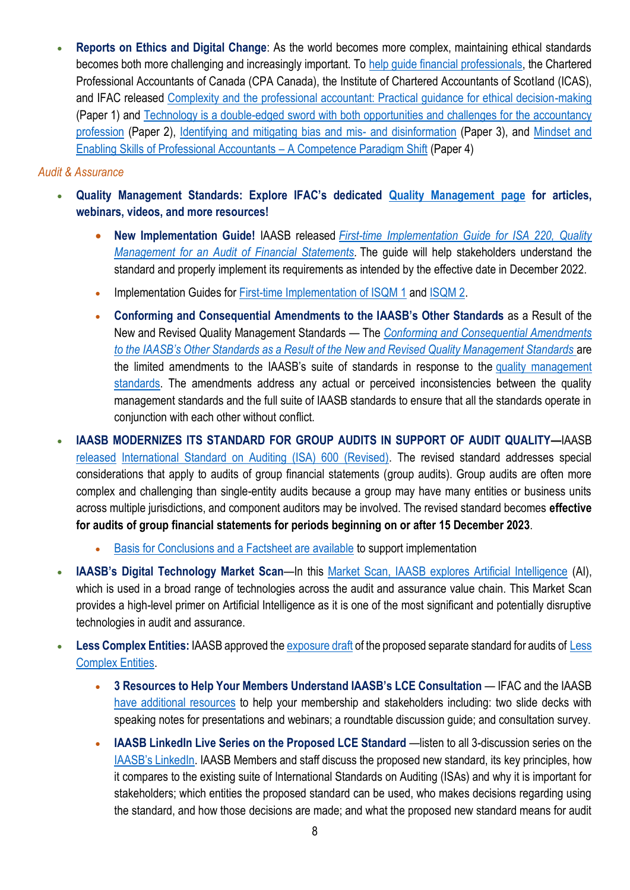• **Reports on Ethics and Digital Change**: As the world becomes more complex, maintaining ethical standards becomes both more challenging and increasingly important. To [help guide financial professionals,](https://zaf01.safelinks.protection.outlook.com/?url=https%3A%2F%2Fwww.ifac.org%2Fknowledge-gateway%2Fbuilding-trust-ethics%2Fdiscussion%2Fethical-leadership-digital-age&data=05%7C01%7CSibongileS%40pafa.org.za%7C1bfb3947c1de4e17704508da2c6145fa%7C2ee7786fc3a945ac81e6efc75b3c9c72%7C0%7C0%7C637871093700554747%7CUnknown%7CTWFpbGZsb3d8eyJWIjoiMC4wLjAwMDAiLCJQIjoiV2luMzIiLCJBTiI6Ik1haWwiLCJXVCI6Mn0%3D%7C3000%7C%7C%7C&sdata=kh1EVo8T9MAQaMKjLJY2eIfm2D6F20iV5GsZEkvPFrg%3D&reserved=0) the Chartered Professional Accountants of Canada (CPA Canada), the Institute of Chartered Accountants of Scotland (ICAS), and IFAC released [Complexity and the professional accountant: Practical guidance for ethical decision-making](https://zaf01.safelinks.protection.outlook.com/?url=https%3A%2F%2Fifac.us7.list-manage.com%2Ftrack%2Fclick%3Fu%3D9e7d9671563ff754a328b2833%26id%3Dbcaf254113%26e%3Dea056acd5d&data=05%7C01%7CSibongileS%40pafa.org.za%7C1bfb3947c1de4e17704508da2c6145fa%7C2ee7786fc3a945ac81e6efc75b3c9c72%7C0%7C0%7C637871093700554747%7CUnknown%7CTWFpbGZsb3d8eyJWIjoiMC4wLjAwMDAiLCJQIjoiV2luMzIiLCJBTiI6Ik1haWwiLCJXVCI6Mn0%3D%7C3000%7C%7C%7C&sdata=cXjaLDpDKv6bnEm187tUD13HecbfSDq7r6qZr4L%2FeKI%3D&reserved=0) (Paper 1) and [Technology is a double-edged sword with both opportunities and challenges for the accountancy](https://zaf01.safelinks.protection.outlook.com/?url=https%3A%2F%2Fwww.ifac.org%2Fknowledge-gateway%2Fbuilding-trust-ethics%2Fpublications%2Ftechnology-double-edged-sword-both-opportunities-and-challenges-accountancy-profession-paper-2&data=05%7C01%7CSibongileS%40pafa.org.za%7C1bfb3947c1de4e17704508da2c6145fa%7C2ee7786fc3a945ac81e6efc75b3c9c72%7C0%7C0%7C637871093700554747%7CUnknown%7CTWFpbGZsb3d8eyJWIjoiMC4wLjAwMDAiLCJQIjoiV2luMzIiLCJBTiI6Ik1haWwiLCJXVCI6Mn0%3D%7C3000%7C%7C%7C&sdata=ET%2FKmOlwivcbmiD1MitbfSPiZsfcYQNxQW%2FKkQI%2BCoo%3D&reserved=0)  [profession](https://zaf01.safelinks.protection.outlook.com/?url=https%3A%2F%2Fwww.ifac.org%2Fknowledge-gateway%2Fbuilding-trust-ethics%2Fpublications%2Ftechnology-double-edged-sword-both-opportunities-and-challenges-accountancy-profession-paper-2&data=05%7C01%7CSibongileS%40pafa.org.za%7C1bfb3947c1de4e17704508da2c6145fa%7C2ee7786fc3a945ac81e6efc75b3c9c72%7C0%7C0%7C637871093700554747%7CUnknown%7CTWFpbGZsb3d8eyJWIjoiMC4wLjAwMDAiLCJQIjoiV2luMzIiLCJBTiI6Ik1haWwiLCJXVCI6Mn0%3D%7C3000%7C%7C%7C&sdata=ET%2FKmOlwivcbmiD1MitbfSPiZsfcYQNxQW%2FKkQI%2BCoo%3D&reserved=0) (Paper 2), [Identifying and mitigating bias and mis-](https://zaf01.safelinks.protection.outlook.com/?url=https%3A%2F%2Fwww.ifac.org%2Fpublications%2Fidentifying-and-mitigating-bias-and-mis-and-disinformation-paper-3&data=05%7C01%7CSibongileS%40pafa.org.za%7C1bfb3947c1de4e17704508da2c6145fa%7C2ee7786fc3a945ac81e6efc75b3c9c72%7C0%7C0%7C637871093700554747%7CUnknown%7CTWFpbGZsb3d8eyJWIjoiMC4wLjAwMDAiLCJQIjoiV2luMzIiLCJBTiI6Ik1haWwiLCJXVCI6Mn0%3D%7C3000%7C%7C%7C&sdata=MX9VRmvdR3kymQD49%2FaVTqdKFHsUmasn95Z1jpUeVHs%3D&reserved=0) and disinformation (Paper 3), and [Mindset and](https://zaf01.safelinks.protection.outlook.com/?url=https%3A%2F%2Fwww.ifac.org%2Fknowledge-gateway%2Fbuilding-trust-ethics%2Fpublications%2Fmindset-and-enabling-skills-professional-accountants-paper-4-0&data=05%7C01%7CSibongileS%40pafa.org.za%7C1bfb3947c1de4e17704508da2c6145fa%7C2ee7786fc3a945ac81e6efc75b3c9c72%7C0%7C0%7C637871093700710987%7CUnknown%7CTWFpbGZsb3d8eyJWIjoiMC4wLjAwMDAiLCJQIjoiV2luMzIiLCJBTiI6Ik1haWwiLCJXVCI6Mn0%3D%7C3000%7C%7C%7C&sdata=HJYK4aCe5zXJgIYrRINE1hwz2lOy0DHjEwF7x1XDsP8%3D&reserved=0)  [Enabling Skills of Professional Accountants](https://zaf01.safelinks.protection.outlook.com/?url=https%3A%2F%2Fwww.ifac.org%2Fknowledge-gateway%2Fbuilding-trust-ethics%2Fpublications%2Fmindset-and-enabling-skills-professional-accountants-paper-4-0&data=05%7C01%7CSibongileS%40pafa.org.za%7C1bfb3947c1de4e17704508da2c6145fa%7C2ee7786fc3a945ac81e6efc75b3c9c72%7C0%7C0%7C637871093700710987%7CUnknown%7CTWFpbGZsb3d8eyJWIjoiMC4wLjAwMDAiLCJQIjoiV2luMzIiLCJBTiI6Ik1haWwiLCJXVCI6Mn0%3D%7C3000%7C%7C%7C&sdata=HJYK4aCe5zXJgIYrRINE1hwz2lOy0DHjEwF7x1XDsP8%3D&reserved=0) – A Competence Paradigm Shift (Paper 4)

#### *Audit & Assurance*

- **Quality Management Standards: Explore IFAC's dedicated [Quality Management page](https://zaf01.safelinks.protection.outlook.com/?url=https%3A%2F%2Fwww.ifac.org%2Fknowledge-gateway%2Fsupporting-international-standards%2Fdiscussion%2Fquality-management&data=05%7C01%7CSibongileS%40pafa.org.za%7C1bfb3947c1de4e17704508da2c6145fa%7C2ee7786fc3a945ac81e6efc75b3c9c72%7C0%7C0%7C637871093700710987%7CUnknown%7CTWFpbGZsb3d8eyJWIjoiMC4wLjAwMDAiLCJQIjoiV2luMzIiLCJBTiI6Ik1haWwiLCJXVCI6Mn0%3D%7C3000%7C%7C%7C&sdata=GXz8RMCjBOe1%2FUtMyrgu1DQLaU7%2BzGEP7oyy%2BJKEDMo%3D&reserved=0) for articles, webinars, videos, and more resources!**
	- **New Implementation Guide!** IAASB released *[First-time Implementation Guide for ISA 220, Quality](https://zaf01.safelinks.protection.outlook.com/?url=https%3A%2F%2Fwww.iaasb.org%2Fpublications%2Fisa-220-first-time-implementation-guide&data=05%7C01%7CSibongileS%40pafa.org.za%7C1bfb3947c1de4e17704508da2c6145fa%7C2ee7786fc3a945ac81e6efc75b3c9c72%7C0%7C0%7C637871093700710987%7CUnknown%7CTWFpbGZsb3d8eyJWIjoiMC4wLjAwMDAiLCJQIjoiV2luMzIiLCJBTiI6Ik1haWwiLCJXVCI6Mn0%3D%7C3000%7C%7C%7C&sdata=0RRUa55wHFYxxFyPqedqJHZHp2yfkL6OQ088ei2%2FgA8%3D&reserved=0)  [Management for an Audit of Financial Statements.](https://zaf01.safelinks.protection.outlook.com/?url=https%3A%2F%2Fwww.iaasb.org%2Fpublications%2Fisa-220-first-time-implementation-guide&data=05%7C01%7CSibongileS%40pafa.org.za%7C1bfb3947c1de4e17704508da2c6145fa%7C2ee7786fc3a945ac81e6efc75b3c9c72%7C0%7C0%7C637871093700710987%7CUnknown%7CTWFpbGZsb3d8eyJWIjoiMC4wLjAwMDAiLCJQIjoiV2luMzIiLCJBTiI6Ik1haWwiLCJXVCI6Mn0%3D%7C3000%7C%7C%7C&sdata=0RRUa55wHFYxxFyPqedqJHZHp2yfkL6OQ088ei2%2FgA8%3D&reserved=0)* The guide will help stakeholders understand the standard and properly implement its requirements as intended by the effective date in December 2022.
	- Implementation Guides for [First-time Implementation of ISQM 1](https://zaf01.safelinks.protection.outlook.com/?url=https%3A%2F%2Fwww.iaasb.org%2Fpublications%2Finternational-standard-quality-management-isqm-1-quality-management-firms-perform-audits-or-reviews&data=05%7C01%7CSibongileS%40pafa.org.za%7C1bfb3947c1de4e17704508da2c6145fa%7C2ee7786fc3a945ac81e6efc75b3c9c72%7C0%7C0%7C637871093700710987%7CUnknown%7CTWFpbGZsb3d8eyJWIjoiMC4wLjAwMDAiLCJQIjoiV2luMzIiLCJBTiI6Ik1haWwiLCJXVCI6Mn0%3D%7C3000%7C%7C%7C&sdata=wTWkowJitjYFOIPC%2FhahhG77iyvx%2BY7UNkRSbrlJb%2F8%3D&reserved=0) and [ISQM 2.](https://zaf01.safelinks.protection.outlook.com/?url=https%3A%2F%2Fwww.iaasb.org%2Fpublications%2Finternational-standard-quality-management-isqm-2-enhancing-quality-reviews&data=05%7C01%7CSibongileS%40pafa.org.za%7C1bfb3947c1de4e17704508da2c6145fa%7C2ee7786fc3a945ac81e6efc75b3c9c72%7C0%7C0%7C637871093700710987%7CUnknown%7CTWFpbGZsb3d8eyJWIjoiMC4wLjAwMDAiLCJQIjoiV2luMzIiLCJBTiI6Ik1haWwiLCJXVCI6Mn0%3D%7C3000%7C%7C%7C&sdata=Q0W8mI7QSYvd0GQtP8CZqkW8o%2BYvDNFyJRVqV6v3Dvo%3D&reserved=0)
	- **Conforming and Consequential Amendments to the IAASB's Other Standards** as a Result of the New and Revised Quality Management Standards — The *[Conforming and Consequential Amendments](https://zaf01.safelinks.protection.outlook.com/?url=https%3A%2F%2Fwww.iaasb.org%2Fpublications%2Fconforming-and-consequential-amendments-iaasb-s-other-standards-result-new-and-revised-quality&data=05%7C01%7CSibongileS%40pafa.org.za%7C1bfb3947c1de4e17704508da2c6145fa%7C2ee7786fc3a945ac81e6efc75b3c9c72%7C0%7C0%7C637871093700710987%7CUnknown%7CTWFpbGZsb3d8eyJWIjoiMC4wLjAwMDAiLCJQIjoiV2luMzIiLCJBTiI6Ik1haWwiLCJXVCI6Mn0%3D%7C3000%7C%7C%7C&sdata=CftIezSy2472dfqJkTMABrNOLLhiaTXKYYbo1U7mt%2FU%3D&reserved=0)  [to the IAASB's Other Standards as a Result of the New and Revised Quality Management Standards](https://zaf01.safelinks.protection.outlook.com/?url=https%3A%2F%2Fwww.iaasb.org%2Fpublications%2Fconforming-and-consequential-amendments-iaasb-s-other-standards-result-new-and-revised-quality&data=05%7C01%7CSibongileS%40pafa.org.za%7C1bfb3947c1de4e17704508da2c6145fa%7C2ee7786fc3a945ac81e6efc75b3c9c72%7C0%7C0%7C637871093700710987%7CUnknown%7CTWFpbGZsb3d8eyJWIjoiMC4wLjAwMDAiLCJQIjoiV2luMzIiLCJBTiI6Ik1haWwiLCJXVCI6Mn0%3D%7C3000%7C%7C%7C&sdata=CftIezSy2472dfqJkTMABrNOLLhiaTXKYYbo1U7mt%2FU%3D&reserved=0)* are the limited amendments to the IAASB's suite of standards in response to the [quality management](https://zaf01.safelinks.protection.outlook.com/?url=https%3A%2F%2Fwww.iaasb.org%2Ffocus-areas%2Fquality-management&data=05%7C01%7CSibongileS%40pafa.org.za%7C1bfb3947c1de4e17704508da2c6145fa%7C2ee7786fc3a945ac81e6efc75b3c9c72%7C0%7C0%7C637871093700710987%7CUnknown%7CTWFpbGZsb3d8eyJWIjoiMC4wLjAwMDAiLCJQIjoiV2luMzIiLCJBTiI6Ik1haWwiLCJXVCI6Mn0%3D%7C3000%7C%7C%7C&sdata=EDBMondKWgVKGEktvcO59JvCbRMd61EKbjSGHZubJ4U%3D&reserved=0)  [standards.](https://zaf01.safelinks.protection.outlook.com/?url=https%3A%2F%2Fwww.iaasb.org%2Ffocus-areas%2Fquality-management&data=05%7C01%7CSibongileS%40pafa.org.za%7C1bfb3947c1de4e17704508da2c6145fa%7C2ee7786fc3a945ac81e6efc75b3c9c72%7C0%7C0%7C637871093700710987%7CUnknown%7CTWFpbGZsb3d8eyJWIjoiMC4wLjAwMDAiLCJQIjoiV2luMzIiLCJBTiI6Ik1haWwiLCJXVCI6Mn0%3D%7C3000%7C%7C%7C&sdata=EDBMondKWgVKGEktvcO59JvCbRMd61EKbjSGHZubJ4U%3D&reserved=0) The amendments address any actual or perceived inconsistencies between the quality management standards and the full suite of IAASB standards to ensure that all the standards operate in conjunction with each other without conflict.
- **IAASB MODERNIZES ITS STANDARD FOR GROUP AUDITS IN SUPPORT OF AUDIT QUALITY—**IAASB [released](https://zaf01.safelinks.protection.outlook.com/?url=https%3A%2F%2Fwww.iaasb.org%2Fnews-events%2F2022-04%2Fiaasb-modernizes-its-standard-group-audits-support-audit-quality&data=05%7C01%7CSibongileS%40pafa.org.za%7C1bfb3947c1de4e17704508da2c6145fa%7C2ee7786fc3a945ac81e6efc75b3c9c72%7C0%7C0%7C637871093700710987%7CUnknown%7CTWFpbGZsb3d8eyJWIjoiMC4wLjAwMDAiLCJQIjoiV2luMzIiLCJBTiI6Ik1haWwiLCJXVCI6Mn0%3D%7C3000%7C%7C%7C&sdata=UHoz7iBym7Q1Xnywruu3mS81nn5BxgW9j1T1CPT1yjM%3D&reserved=0) [International Standard on Auditing \(ISA\) 600 \(Revised\).](https://zaf01.safelinks.protection.outlook.com/?url=https%3A%2F%2Fwww.iaasb.org%2Fpublications%2Finternational-standard-auditing-600-revised-special-considerations-audits-group-financial-statements&data=05%7C01%7CSibongileS%40pafa.org.za%7C1bfb3947c1de4e17704508da2c6145fa%7C2ee7786fc3a945ac81e6efc75b3c9c72%7C0%7C0%7C637871093700710987%7CUnknown%7CTWFpbGZsb3d8eyJWIjoiMC4wLjAwMDAiLCJQIjoiV2luMzIiLCJBTiI6Ik1haWwiLCJXVCI6Mn0%3D%7C3000%7C%7C%7C&sdata=0Pn79OVX880iGsed98RM6bLPBNPNre2qf8sOG1Sekx4%3D&reserved=0) The revised standard addresses special considerations that apply to audits of group financial statements (group audits). Group audits are often more complex and challenging than single-entity audits because a group may have many entities or business units across multiple jurisdictions, and component auditors may be involved. The revised standard becomes **effective for audits of group financial statements for periods beginning on or after 15 December 2023**.
	- [Basis for Conclusions and a Factsheet are available](https://zaf01.safelinks.protection.outlook.com/?url=https%3A%2F%2Fwww.iaasb.org%2Fpublications%2Finternational-standard-auditing-600-revised-special-considerations-audits-group-financial-statements&data=05%7C01%7CSibongileS%40pafa.org.za%7C1bfb3947c1de4e17704508da2c6145fa%7C2ee7786fc3a945ac81e6efc75b3c9c72%7C0%7C0%7C637871093700710987%7CUnknown%7CTWFpbGZsb3d8eyJWIjoiMC4wLjAwMDAiLCJQIjoiV2luMzIiLCJBTiI6Ik1haWwiLCJXVCI6Mn0%3D%7C3000%7C%7C%7C&sdata=0Pn79OVX880iGsed98RM6bLPBNPNre2qf8sOG1Sekx4%3D&reserved=0) to support implementation
- **IAASB's Digital Technology Market Scan**—In this [Market Scan, IAASB explores Artificial Intelligence](https://zaf01.safelinks.protection.outlook.com/?url=https%3A%2F%2Fwww.iaasb.org%2Fnews-events%2F2022-03%2Fiaasb-digital-technology-market-scan-artificial-intelligence-primer&data=05%7C01%7CSibongileS%40pafa.org.za%7C1bfb3947c1de4e17704508da2c6145fa%7C2ee7786fc3a945ac81e6efc75b3c9c72%7C0%7C0%7C637871093700710987%7CUnknown%7CTWFpbGZsb3d8eyJWIjoiMC4wLjAwMDAiLCJQIjoiV2luMzIiLCJBTiI6Ik1haWwiLCJXVCI6Mn0%3D%7C3000%7C%7C%7C&sdata=fFa0ya6%2F4ekkK1AuIMZtsUugn2MSzaNVsoyvvGfqegg%3D&reserved=0) (AI), which is used in a broad range of technologies across the audit and assurance value chain. This Market Scan provides a high-level primer on Artificial Intelligence as it is one of the most significant and potentially disruptive technologies in audit and assurance.
- **Less Complex Entities:** IAASB approved th[e exposure draft](https://zaf01.safelinks.protection.outlook.com/?url=https%3A%2F%2Fwww.iaasb.org%2Fpublications%2Fexposure-draft-proposed-international-standard-auditing-financial-statements-less-complex-entities&data=05%7C01%7CSibongileS%40pafa.org.za%7C1bfb3947c1de4e17704508da2c6145fa%7C2ee7786fc3a945ac81e6efc75b3c9c72%7C0%7C0%7C637871093700710987%7CUnknown%7CTWFpbGZsb3d8eyJWIjoiMC4wLjAwMDAiLCJQIjoiV2luMzIiLCJBTiI6Ik1haWwiLCJXVCI6Mn0%3D%7C3000%7C%7C%7C&sdata=66NS%2FGU7Ip5AMhZP4Q%2Be%2BC9htLifK6quayi%2F4CHMz5M%3D&reserved=0) of the proposed separate standard for audits of [Less](https://zaf01.safelinks.protection.outlook.com/?url=https%3A%2F%2Fwww.iaasb.org%2Ffocus-areas%2Fnew-standard-less-complex-entities&data=05%7C01%7CSibongileS%40pafa.org.za%7C1bfb3947c1de4e17704508da2c6145fa%7C2ee7786fc3a945ac81e6efc75b3c9c72%7C0%7C0%7C637871093700710987%7CUnknown%7CTWFpbGZsb3d8eyJWIjoiMC4wLjAwMDAiLCJQIjoiV2luMzIiLCJBTiI6Ik1haWwiLCJXVCI6Mn0%3D%7C3000%7C%7C%7C&sdata=eheIz%2F2IW1spDbrBDhqI3%2B7UX8AmVcys2QcSYDGcZ%2Bo%3D&reserved=0)  [Complex Entities.](https://zaf01.safelinks.protection.outlook.com/?url=https%3A%2F%2Fwww.iaasb.org%2Ffocus-areas%2Fnew-standard-less-complex-entities&data=05%7C01%7CSibongileS%40pafa.org.za%7C1bfb3947c1de4e17704508da2c6145fa%7C2ee7786fc3a945ac81e6efc75b3c9c72%7C0%7C0%7C637871093700710987%7CUnknown%7CTWFpbGZsb3d8eyJWIjoiMC4wLjAwMDAiLCJQIjoiV2luMzIiLCJBTiI6Ik1haWwiLCJXVCI6Mn0%3D%7C3000%7C%7C%7C&sdata=eheIz%2F2IW1spDbrBDhqI3%2B7UX8AmVcys2QcSYDGcZ%2Bo%3D&reserved=0)
	- **3 Resources to Help Your Members Understand IAASB's LCE Consultation** IFAC and the IAASB [have additional resources](https://zaf01.safelinks.protection.outlook.com/?url=https%3A%2F%2Fmailchi.mp%2Fifac%2Fless-complex-entities-toolkit%3Fe%3Dea056acd5d&data=05%7C01%7CSibongileS%40pafa.org.za%7C1bfb3947c1de4e17704508da2c6145fa%7C2ee7786fc3a945ac81e6efc75b3c9c72%7C0%7C0%7C637871093700710987%7CUnknown%7CTWFpbGZsb3d8eyJWIjoiMC4wLjAwMDAiLCJQIjoiV2luMzIiLCJBTiI6Ik1haWwiLCJXVCI6Mn0%3D%7C3000%7C%7C%7C&sdata=fRUSAovcwg%2Bj5zvKLoRCOP3YNjcIr6LndadIQ4ni1fk%3D&reserved=0) to help your membership and stakeholders including: two slide decks with speaking notes for presentations and webinars; a roundtable discussion guide; and consultation survey.
	- **IAASB LinkedIn Live Series on the Proposed LCE Standard** —listen to all 3-discussion series on the [IAASB's LinkedIn](https://zaf01.safelinks.protection.outlook.com/?url=https%3A%2F%2Fwww.linkedin.com%2Fcompany%2Fiaasb%2Fevents%2F&data=05%7C01%7CSibongileS%40pafa.org.za%7C1bfb3947c1de4e17704508da2c6145fa%7C2ee7786fc3a945ac81e6efc75b3c9c72%7C0%7C0%7C637871093700710987%7CUnknown%7CTWFpbGZsb3d8eyJWIjoiMC4wLjAwMDAiLCJQIjoiV2luMzIiLCJBTiI6Ik1haWwiLCJXVCI6Mn0%3D%7C3000%7C%7C%7C&sdata=7PNRfsOMmmceGLmZTU2pCfcMj5r0LmOTQMjRotQPNoE%3D&reserved=0). IAASB Members and staff discuss the proposed new standard, its key principles, how it compares to the existing suite of International Standards on Auditing (ISAs) and why it is important for stakeholders; which entities the proposed standard can be used, who makes decisions regarding using the standard, and how those decisions are made; and what the proposed new standard means for audit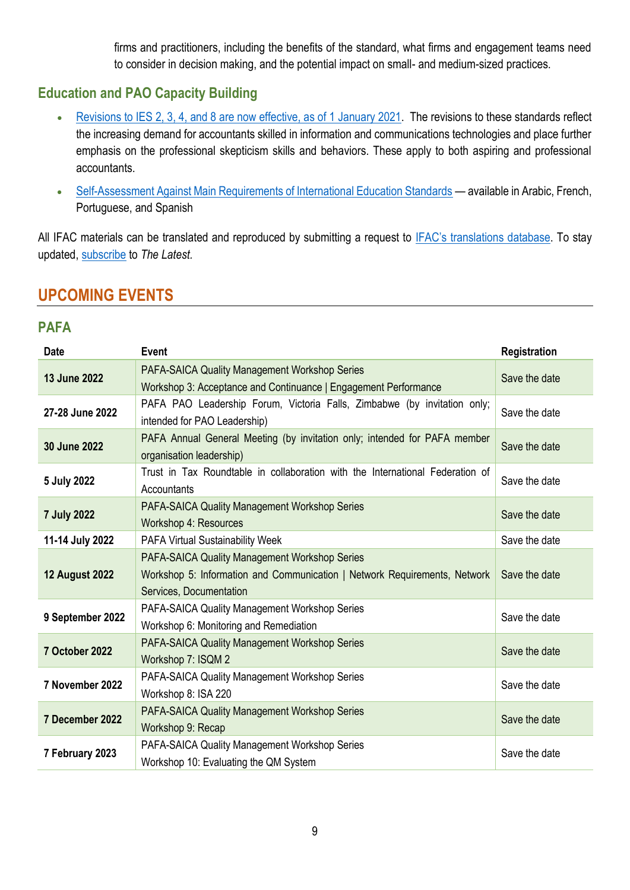firms and practitioners, including the benefits of the standard, what firms and engagement teams need to consider in decision making, and the potential impact on small- and medium-sized practices.

## **Education and PAO Capacity Building**

- [Revisions to IES 2, 3, 4, and 8 are now effective, as of 1 January 2021.](https://zaf01.safelinks.protection.outlook.com/?url=https%3A%2F%2Feducation.ifac.org%2Findex.html&data=05%7C01%7CSibongileS%40pafa.org.za%7C1bfb3947c1de4e17704508da2c6145fa%7C2ee7786fc3a945ac81e6efc75b3c9c72%7C0%7C0%7C637871093700867224%7CUnknown%7CTWFpbGZsb3d8eyJWIjoiMC4wLjAwMDAiLCJQIjoiV2luMzIiLCJBTiI6Ik1haWwiLCJXVCI6Mn0%3D%7C3000%7C%7C%7C&sdata=kgfCke1jto6qm%2FhZ35Ktjxo1mL16%2F1WHeb9RhF2jyrQ%3D&reserved=0) The revisions to these standards reflect the increasing demand for accountants skilled in information and communications technologies and place further emphasis on the professional skepticism skills and behaviors. These apply to both aspiring and professional accountants.
- [Self-Assessment Against Main Requirements of International Education Standards](https://zaf01.safelinks.protection.outlook.com/?url=https%3A%2F%2Fwww.ifac.org%2Fknowledge-gateway%2Fsupporting-international-standards%2Fpublications%2Fself-assessment-against-main-requirements-international-education-standards&data=05%7C01%7CSibongileS%40pafa.org.za%7C1bfb3947c1de4e17704508da2c6145fa%7C2ee7786fc3a945ac81e6efc75b3c9c72%7C0%7C0%7C637871093700867224%7CUnknown%7CTWFpbGZsb3d8eyJWIjoiMC4wLjAwMDAiLCJQIjoiV2luMzIiLCJBTiI6Ik1haWwiLCJXVCI6Mn0%3D%7C3000%7C%7C%7C&sdata=65bIh9qMZXk1KTs%2F3DIJje%2BHsiz%2B9d7vAMhq65aH91Q%3D&reserved=0) available in Arabic, French, Portuguese, and Spanish

All IFAC materials can be translated and reproduced by submitting a request to [IFAC's translations](https://protect-za.mimecast.com/s/6vgvCKO71pHqqmO9fMD0OQ?domain=ifac.org) database. To stay updated, [subscribe](https://protect-za.mimecast.com/s/DnSSCLg17qcPP4KXuqF8PO?domain=ifac.org) to *The Latest.*

# **UPCOMING EVENTS**

## **PAFA**

| <b>Date</b>           | <b>Event</b>                                                                                                                                          | Registration  |
|-----------------------|-------------------------------------------------------------------------------------------------------------------------------------------------------|---------------|
| 13 June 2022          | PAFA-SAICA Quality Management Workshop Series<br>Workshop 3: Acceptance and Continuance   Engagement Performance                                      | Save the date |
| 27-28 June 2022       | PAFA PAO Leadership Forum, Victoria Falls, Zimbabwe (by invitation only;<br>intended for PAO Leadership)                                              | Save the date |
| 30 June 2022          | PAFA Annual General Meeting (by invitation only; intended for PAFA member<br>organisation leadership)                                                 | Save the date |
| 5 July 2022           | Trust in Tax Roundtable in collaboration with the International Federation of<br>Accountants                                                          | Save the date |
| <b>7 July 2022</b>    | <b>PAFA-SAICA Quality Management Workshop Series</b><br>Workshop 4: Resources                                                                         | Save the date |
| 11-14 July 2022       | <b>PAFA Virtual Sustainability Week</b>                                                                                                               | Save the date |
| <b>12 August 2022</b> | PAFA-SAICA Quality Management Workshop Series<br>Workshop 5: Information and Communication   Network Requirements, Network<br>Services, Documentation | Save the date |
| 9 September 2022      | PAFA-SAICA Quality Management Workshop Series<br>Workshop 6: Monitoring and Remediation                                                               | Save the date |
| 7 October 2022        | PAFA-SAICA Quality Management Workshop Series<br>Workshop 7: ISQM 2                                                                                   | Save the date |
| 7 November 2022       | PAFA-SAICA Quality Management Workshop Series<br>Workshop 8: ISA 220                                                                                  | Save the date |
| 7 December 2022       | <b>PAFA-SAICA Quality Management Workshop Series</b><br>Workshop 9: Recap                                                                             | Save the date |
| 7 February 2023       | PAFA-SAICA Quality Management Workshop Series<br>Workshop 10: Evaluating the QM System                                                                | Save the date |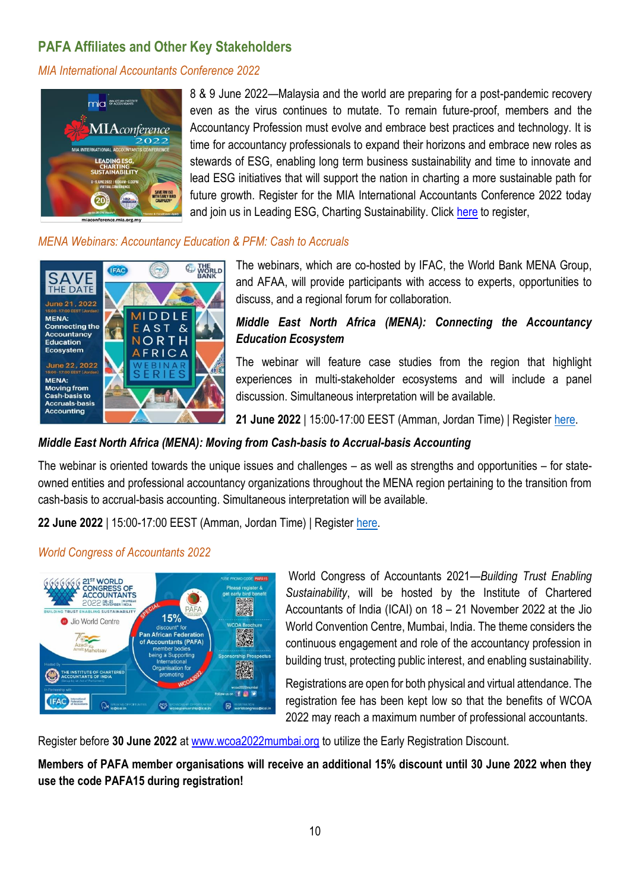## **PAFA Affiliates and Other Key Stakeholders**

*MIA International Accountants Conference 2022*



8 & 9 June 2022—Malaysia and the world are preparing for a post-pandemic recovery even as the virus continues to mutate. To remain future-proof, members and the Accountancy Profession must evolve and embrace best practices and technology. It is time for accountancy professionals to expand their horizons and embrace new roles as stewards of ESG, enabling long term business sustainability and time to innovate and lead ESG initiatives that will support the nation in charting a more sustainable path for future growth. Register for the MIA International Accountants Conference 2022 today and join us in Leading ESG, Charting Sustainability. Click [here](https://zaf01.safelinks.protection.outlook.com/?url=https%3A%2F%2Fmiaconference.mia.org.my%2F&data=04%7C01%7Csibongiles%40pafa.org.za%7Cc85fe74243e74808cbf208d9fff93477%7C2ee7786fc3a945ac81e6efc75b3c9c72%7C0%7C0%7C637822268104458776%7CUnknown%7CTWFpbGZsb3d8eyJWIjoiMC4wLjAwMDAiLCJQIjoiV2luMzIiLCJBTiI6Ik1haWwiLCJXVCI6Mn0%3D%7C3000&sdata=9QAP9ZbUxb0%2Bj8jkCSOXtYjLYQCb7xjjrx1JUHQSmqw%3D&reserved=0) to register,

#### *MENA Webinars: Accountancy Education & PFM: Cash to Accruals*



The webinars, which are co-hosted by IFAC, the World Bank MENA Group, and AFAA, will provide participants with access to experts, opportunities to discuss, and a regional forum for collaboration.

### *Middle East North Africa (MENA): Connecting the Accountancy Education Ecosystem*

The webinar will feature case studies from the region that highlight experiences in multi-stakeholder ecosystems and will include a panel discussion. Simultaneous interpretation will be available.

**21 June 2022** | 15:00-17:00 EEST (Amman, Jordan Time) | Register [here.](https://zaf01.safelinks.protection.outlook.com/?url=https%3A%2F%2Fifac-org.zoom.us%2Fwebinar%2Fregister%2FWN_xVSAmtchSMOTfk6oR1DNyQ&data=05%7C01%7CSibongileS%40pafa.org.za%7C50f6cce6682e45a75b7508da38aafcf4%7C2ee7786fc3a945ac81e6efc75b3c9c72%7C0%7C0%7C637884604280012313%7CUnknown%7CTWFpbGZsb3d8eyJWIjoiMC4wLjAwMDAiLCJQIjoiV2luMzIiLCJBTiI6Ik1haWwiLCJXVCI6Mn0%3D%7C3000%7C%7C%7C&sdata=UMz55CDHCCq6GIdRiiyqaVe%2FwGpHpRNIUIRhtpdH0A0%3D&reserved=0)

## *Middle East North Africa (MENA): Moving from Cash-basis to Accrual-basis Accounting*

The webinar is oriented towards the unique issues and challenges – as well as strengths and opportunities – for stateowned entities and professional accountancy organizations throughout the MENA region pertaining to the transition from cash-basis to accrual-basis accounting. Simultaneous interpretation will be available.

**22 June 2022** | 15:00-17:00 EEST (Amman, Jordan Time) | Register [here.](https://zaf01.safelinks.protection.outlook.com/?url=https%3A%2F%2Fifac-org.zoom.us%2Fwebinar%2Fregister%2FWN_BFUCKALYSzGx02r4cpZf4A&data=05%7C01%7CSibongileS%40pafa.org.za%7C50f6cce6682e45a75b7508da38aafcf4%7C2ee7786fc3a945ac81e6efc75b3c9c72%7C0%7C0%7C637884604280012313%7CUnknown%7CTWFpbGZsb3d8eyJWIjoiMC4wLjAwMDAiLCJQIjoiV2luMzIiLCJBTiI6Ik1haWwiLCJXVCI6Mn0%3D%7C3000%7C%7C%7C&sdata=2bkqDH%2B4omVg3ZCx0d26q7LGUDVxDjQyQPnHQsGQi6k%3D&reserved=0)



#### *World Congress of Accountants 2022*

World Congress of Accountants 2021—*Building Trust Enabling Sustainability*, will be hosted by the Institute of Chartered Accountants of India (ICAI) on 18 – 21 November 2022 at the Jio World Convention Centre, Mumbai, India. The theme considers the continuous engagement and role of the accountancy profession in building trust, protecting public interest, and enabling sustainability.

Registrations are open for both physical and virtual attendance. The registration fee has been kept low so that the benefits of WCOA 2022 may reach a maximum number of professional accountants.

Register before **30 June 2022** at [www.wcoa2022mumbai.org](https://zaf01.safelinks.protection.outlook.com/?url=http%3A%2F%2Fwww.wcoa2022mumbai.org%2F&data=04%7C01%7CSibongileS%40pafa.org.za%7C7f3010f44fb04e49900b08da10ce9855%7C2ee7786fc3a945ac81e6efc75b3c9c72%7C0%7C0%7C637840776770830393%7CUnknown%7CTWFpbGZsb3d8eyJWIjoiMC4wLjAwMDAiLCJQIjoiV2luMzIiLCJBTiI6Ik1haWwiLCJXVCI6Mn0%3D%7C3000&sdata=7tKmO0IEdsadk%2BlYfn3pu94BNHKK110pQEd1HgvjLAY%3D&reserved=0) to utilize the Early Registration Discount.

**Members of PAFA member organisations will receive an additional 15% discount until 30 June 2022 when they use the code PAFA15 during registration!**